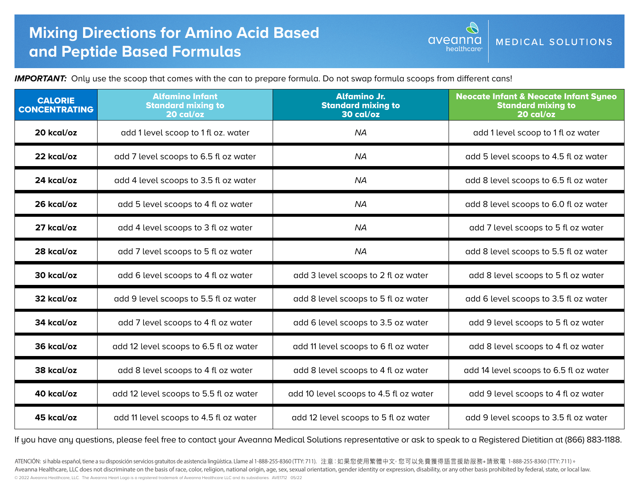aveanna MEDICAL SOLUTIONS healthcare

*IMPORTANT:* Only use the scoop that comes with the can to prepare formula. Do not swap formula scoops from different cans!

| <b>CALORIE</b><br><b>CONCENTRATING</b> | <b>Alfamino Infant</b><br><b>Standard mixing to</b><br>20 cal/oz | <b>Alfamino Jr.</b><br><b>Standard mixing to</b><br>30 cal/oz | <b>Neocate Infant &amp; Neocate Infant Syneo</b><br><b>Standard mixing to</b><br>20 cal/oz |
|----------------------------------------|------------------------------------------------------------------|---------------------------------------------------------------|--------------------------------------------------------------------------------------------|
| 20 kcal/oz                             | add 1 level scoop to 1 fl oz. water                              | <b>NA</b>                                                     | add 1 level scoop to 1 fl oz water                                                         |
| 22 kcal/oz                             | add 7 level scoops to 6.5 fl oz water                            | <b>NA</b>                                                     | add 5 level scoops to 4.5 fl oz water                                                      |
| 24 kcal/oz                             | add 4 level scoops to 3.5 fl oz water                            | <b>NA</b>                                                     | add 8 level scoops to 6.5 fl oz water                                                      |
| 26 kcal/oz                             | add 5 level scoops to 4 fl oz water                              | <b>NA</b>                                                     | add 8 level scoops to 6.0 fl oz water                                                      |
| 27 kcal/oz                             | add 4 level scoops to 3 fl oz water                              | <b>NA</b>                                                     | add 7 level scoops to 5 fl oz water                                                        |
| 28 kcal/oz                             | add 7 level scoops to 5 fl oz water                              | <b>NA</b>                                                     | add 8 level scoops to 5.5 fl oz water                                                      |
| 30 kcal/oz                             | add 6 level scoops to 4 fl oz water                              | add 3 level scoops to 2 fl oz water                           | add 8 level scoops to 5 fl oz water                                                        |
| 32 kcal/oz                             | add 9 level scoops to 5.5 fl oz water                            | add 8 level scoops to 5 fl oz water                           | add 6 level scoops to 3.5 fl oz water                                                      |
| 34 kcal/oz                             | add 7 level scoops to 4 fl oz water                              | add 6 level scoops to 3.5 oz water                            | add 9 level scoops to 5 fl oz water                                                        |
| 36 kcal/oz                             | add 12 level scoops to 6.5 fl oz water                           | add 11 level scoops to 6 fl oz water                          | add 8 level scoops to 4 fl oz water                                                        |
| 38 kcal/oz                             | add 8 level scoops to 4 fl oz water                              | add 8 level scoops to 4 fl oz water                           | add 14 level scoops to 6.5 fl oz water                                                     |
| 40 kcal/oz                             | add 12 level scoops to 5.5 fl oz water                           | add 10 level scoops to 4.5 fl oz water                        | add 9 level scoops to 4 fl oz water                                                        |
| 45 kcal/oz                             | add 11 level scoops to 4.5 fl oz water                           | add 12 level scoops to 5 fl oz water                          | add 9 level scoops to 3.5 fl oz water                                                      |

If you have any questions, please feel free to contact your Aveanna Medical Solutions representative or ask to speak to a Registered Dietitian at (866) 883-1188.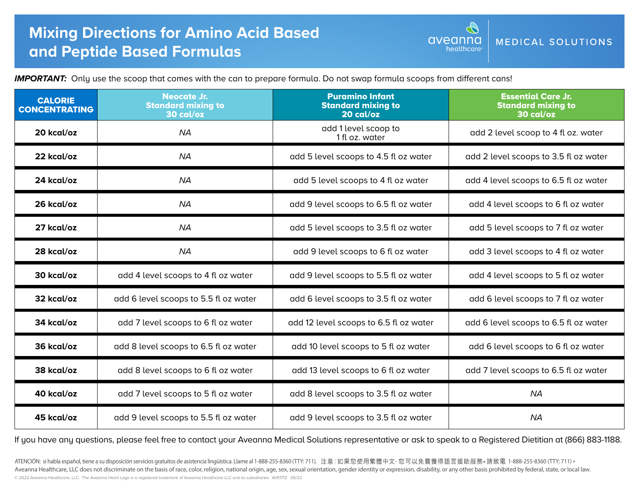## **Mixing Directions for Amino Acid Based and Peptide Based Formulas**

*IMPORTANT:* Only use the scoop that comes with the can to prepare formula. Do not swap formula scoops from different cans!

| <b>CALORIE</b><br><b>CONCENTRATING</b> | <b>Neocate Jr.</b><br><b>Standard mixing to</b><br>30 cal/oz | <b>Puramino Infant</b><br><b>Standard mixing to</b><br>20 cal/oz | <b>Essential Care Jr.</b><br><b>Standard mixing to</b><br>30 cal/oz |
|----------------------------------------|--------------------------------------------------------------|------------------------------------------------------------------|---------------------------------------------------------------------|
| 20 kcal/oz                             | <b>NA</b>                                                    | add 1 level scoop to<br>1 fl oz. water                           | add 2 level scoop to 4 fl oz. water                                 |
| 22 kcal/oz                             | <b>NA</b>                                                    | add 5 level scoops to 4.5 fl oz water                            | add 2 level scoops to 3.5 fl oz water                               |
| 24 kcal/oz                             | <b>NA</b>                                                    | add 5 level scoops to 4 fl oz water                              | add 4 level scoops to 6.5 fl oz water                               |
| 26 kcal/oz                             | <b>NA</b>                                                    | add 9 level scoops to 6.5 fl oz water                            | add 4 level scoops to 6 fl oz water                                 |
| 27 kcal/oz                             | <b>NA</b>                                                    | add 5 level scoops to 3.5 fl oz water                            | add 5 level scoops to 7 fl oz water                                 |
| 28 kcal/oz                             | <b>NA</b>                                                    | add 9 level scoops to 6 fl oz water                              | add 3 level scoops to 4 fl oz water                                 |
| 30 kcal/oz                             | add 4 level scoops to 4 fl oz water                          | add 9 level scoops to 5.5 fl oz water                            | add 4 level scoops to 5 fl oz water                                 |
| 32 kcal/oz                             | add 6 level scoops to 5.5 fl oz water                        | add 6 level scoops to 3.5 fl oz water                            | add 6 level scoops to 7 fl oz water                                 |
| 34 kcal/oz                             | add 7 level scoops to 6 fl oz water                          | add 12 level scoops to 6.5 fl oz water                           | add 6 level scoops to 6.5 fl oz water                               |
| 36 kcal/oz                             | add 8 level scoops to 6.5 fl oz water                        | add 10 level scoops to 5 fl oz water                             | add 6 level scoops to 6 fl oz water                                 |
| 38 kcal/oz                             | add 8 level scoops to 6 fl oz water                          | add 13 level scoops to 6 fl oz water                             | add 7 level scoops to 6.5 fl oz water                               |
| 40 kcal/oz                             | add 7 level scoops to 5 fl oz water                          | add 8 level scoops to 3.5 fl oz water                            | <b>NA</b>                                                           |
| 45 kcal/oz                             | add 9 level scoops to 5.5 fl oz water                        | add 9 level scoops to 3.5 fl oz water                            | <b>NA</b>                                                           |

aveanna

healthcare

MEDICAL SOLUTIONS

If you have any questions, please feel free to contact your Aveanna Medical Solutions representative or ask to speak to a Registered Dietitian at (866) 883-1188.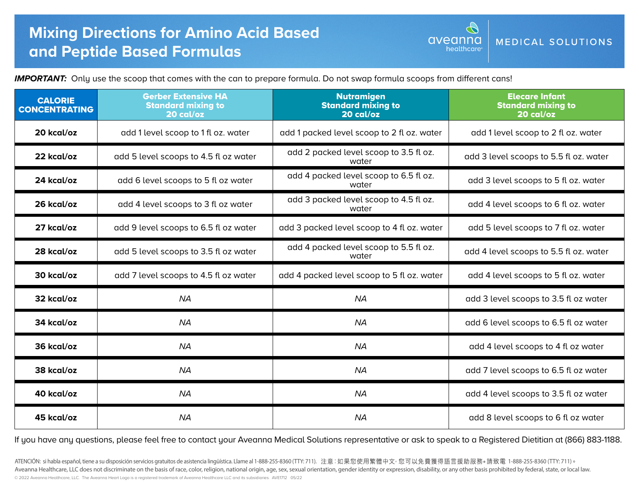aveanna MEDICAL SOLUTIONS healthcare

*IMPORTANT:* Only use the scoop that comes with the can to prepare formula. Do not swap formula scoops from different cans!

| <b>CALORIE</b><br><b>CONCENTRATING</b> | <b>Gerber Extensive HA</b><br><b>Standard mixing to</b><br>20 cal/oz | <b>Nutramigen</b><br><b>Standard mixing to</b><br>20 cal/oz | <b>Elecare Infant</b><br><b>Standard mixing to</b><br>20 cal/oz |
|----------------------------------------|----------------------------------------------------------------------|-------------------------------------------------------------|-----------------------------------------------------------------|
| 20 kcal/oz                             | add 1 level scoop to 1 fl oz. water                                  | add 1 packed level scoop to 2 fl oz. water                  | add 1 level scoop to 2 fl oz. water                             |
| 22 kcal/oz                             | add 5 level scoops to 4.5 fl oz water                                | add 2 packed level scoop to 3.5 fl oz.<br>water             | add 3 level scoops to 5.5 fl oz. water                          |
| 24 kcal/oz                             | add 6 level scoops to 5 fl oz water                                  | add 4 packed level scoop to 6.5 fl oz.<br>water             | add 3 level scoops to 5 fl oz. water                            |
| 26 kcal/oz                             | add 4 level scoops to 3 fl oz water                                  | add 3 packed level scoop to 4.5 fl oz.<br>water             | add 4 level scoops to 6 fl oz. water                            |
| 27 kcal/oz                             | add 9 level scoops to 6.5 fl oz water                                | add 3 packed level scoop to 4 fl oz. water                  | add 5 level scoops to 7 fl oz. water                            |
| 28 kcal/oz                             | add 5 level scoops to 3.5 fl oz water                                | add 4 packed level scoop to 5.5 fl oz.<br>water             | add 4 level scoops to 5.5 fl oz. water                          |
| 30 kcal/oz                             | add 7 level scoops to 4.5 fl oz water                                | add 4 packed level scoop to 5 fl oz. water                  | add 4 level scoops to 5 fl oz. water                            |
| 32 kcal/oz                             | <b>NA</b>                                                            | <b>NA</b>                                                   | add 3 level scoops to 3.5 fl oz water                           |
| 34 kcal/oz                             | <b>NA</b>                                                            | <b>NA</b>                                                   | add 6 level scoops to 6.5 fl oz water                           |
| 36 kcal/oz                             | <b>NA</b>                                                            | <b>NA</b>                                                   | add 4 level scoops to 4 fl oz water                             |
| 38 kcal/oz                             | <b>NA</b>                                                            | <b>NA</b>                                                   | add 7 level scoops to 6.5 fl oz water                           |
| 40 kcal/oz                             | <b>NA</b>                                                            | <b>NA</b>                                                   | add 4 level scoops to 3.5 fl oz water                           |
| 45 kcal/oz                             | <b>NA</b>                                                            | <b>NA</b>                                                   | add 8 level scoops to 6 fl oz water                             |

If you have any questions, please feel free to contact your Aveanna Medical Solutions representative or ask to speak to a Registered Dietitian at (866) 883-1188.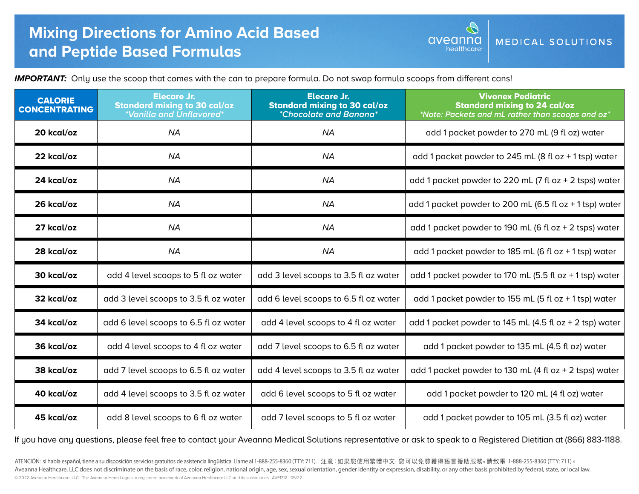## **Mixing Directions for Amino Acid Based and Peptide Based Formulas**

MEDICAL SOLUTIONS healthcare

aveanna

*IMPORTANT:* Only use the scoop that comes with the can to prepare formula. Do not swap formula scoops from different cans!

| <b>CALORIE</b><br><b>CONCENTRATING</b> | <b>Elecare Jr.</b><br><b>Standard mixing to 30 cal/oz</b><br>*Vanilla and Unflavored* | <b>Elecare Jr.</b><br><b>Standard mixing to 30 cal/oz</b><br><i>*Chocolate and Banana*</i> | <b>Vivonex Pediatric</b><br><b>Standard mixing to 24 cal/oz</b><br>*Note: Packets and mL rather than scoops and oz* |
|----------------------------------------|---------------------------------------------------------------------------------------|--------------------------------------------------------------------------------------------|---------------------------------------------------------------------------------------------------------------------|
| 20 kcal/oz                             | <b>NA</b>                                                                             | <b>NA</b>                                                                                  | add 1 packet powder to 270 mL (9 fl oz) water                                                                       |
| 22 kcal/oz                             | <b>NA</b>                                                                             | <b>NA</b>                                                                                  | add 1 packet powder to 245 mL (8 fl oz $+$ 1 tsp) water                                                             |
| 24 kcal/oz                             | <b>NA</b>                                                                             | <b>NA</b>                                                                                  | add 1 packet powder to 220 mL (7 fl oz $+$ 2 tsps) water                                                            |
| 26 kcal/oz                             | <b>NA</b>                                                                             | <b>NA</b>                                                                                  | add 1 packet powder to 200 mL (6.5 fl oz $+1$ tsp) water                                                            |
| 27 kcal/oz                             | <b>NA</b>                                                                             | <b>NA</b>                                                                                  | add 1 packet powder to 190 mL (6 fl oz $+$ 2 tsps) water                                                            |
| 28 kcal/oz                             | <b>NA</b>                                                                             | <b>NA</b>                                                                                  | add 1 packet powder to 185 mL (6 fl oz $+$ 1 tsp) water                                                             |
| 30 kcal/oz                             | add 4 level scoops to 5 fl oz water                                                   | add 3 level scoops to 3.5 fl oz water                                                      | add 1 packet powder to 170 mL (5.5 fl oz $+$ 1 tsp) water                                                           |
| 32 kcal/oz                             | add 3 level scoops to 3.5 fl oz water                                                 | add 6 level scoops to 6.5 fl oz water                                                      | add 1 packet powder to 155 mL (5 fl oz $+$ 1 tsp) water                                                             |
| 34 kcal/oz                             | add 6 level scoops to 6.5 fl oz water                                                 | add 4 level scoops to 4 fl oz water                                                        | add 1 packet powder to 145 mL (4.5 fl oz $+$ 2 tsp) water                                                           |
| 36 kcal/oz                             | add 4 level scoops to 4 fl oz water                                                   | add 7 level scoops to 6.5 fl oz water                                                      | add 1 packet powder to 135 mL (4.5 fl oz) water                                                                     |
| 38 kcal/oz                             | add 7 level scoops to 6.5 fl oz water                                                 | add 4 level scoops to 3.5 fl oz water                                                      | add 1 packet powder to 130 mL (4 fl oz $+$ 2 tsps) water                                                            |
| 40 kcal/oz                             | add 4 level scoops to 3.5 fl oz water                                                 | add 6 level scoops to 5 fl oz water                                                        | add 1 packet powder to 120 mL (4 fl oz) water                                                                       |
| 45 kcal/oz                             | add 8 level scoops to 6 fl oz water                                                   | add 7 level scoops to 5 fl oz water                                                        | add 1 packet powder to 105 mL (3.5 fl oz) water                                                                     |

If you have any questions, please feel free to contact your Aveanna Medical Solutions representative or ask to speak to a Registered Dietitian at (866) 883-1188.